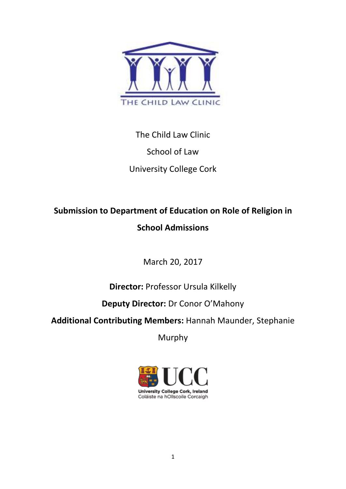

# The Child Law Clinic School of Law University College Cork

## **Submission to Department of Education on Role of Religion in School Admissions**

March 20, 2017

## **Director:** Professor Ursula Kilkelly

## **Deputy Director:** Dr Conor O'Mahony

### **Additional Contributing Members:** Hannah Maunder, Stephanie

Murphy

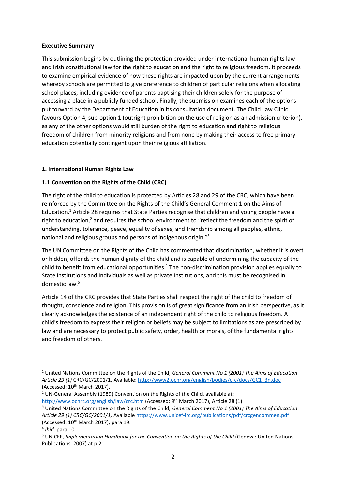#### **Executive Summary**

This submission begins by outlining the protection provided under international human rights law and Irish constitutional law for the right to education and the right to religious freedom. It proceeds to examine empirical evidence of how these rights are impacted upon by the current arrangements whereby schools are permitted to give preference to children of particular religions when allocating school places, including evidence of parents baptising their children solely for the purpose of accessing a place in a publicly funded school. Finally, the submission examines each of the options put forward by the Department of Education in its consultation document. The Child Law Clinic favours Option 4, sub-option 1 (outright prohibition on the use of religion as an admission criterion), as any of the other options would still burden of the right to education and right to religious freedom of children from minority religions and from none by making their access to free primary education potentially contingent upon their religious affiliation.

#### **1. International Human Rights Law**

#### **1.1 Convention on the Rights of the Child (CRC)**

The right of the child to education is protected by Articles 28 and 29 of the CRC, which have been reinforced by the Committee on the Rights of the Child's General Comment 1 on the Aims of Education.<sup>1</sup> Article 28 requires that State Parties recognise that children and young people have a right to education,<sup>2</sup> and requires the school environment to "reflect the freedom and the spirit of understanding, tolerance, peace, equality of sexes, and friendship among all peoples, ethnic, national and religious groups and persons of indigenous origin."<sup>3</sup>

The UN Committee on the Rights of the Child has commented that discrimination, whether it is overt or hidden, offends the human dignity of the child and is capable of undermining the capacity of the child to benefit from educational opportunities.<sup>4</sup> The non-discrimination provision applies equally to State institutions and individuals as well as private institutions, and this must be recognised in domestic law.<sup>5</sup>

Article 14 of the CRC provides that State Parties shall respect the right of the child to freedom of thought, conscience and religion. This provision is of great significance from an Irish perspective, as it clearly acknowledges the existence of an independent right of the child to religious freedom. A child's freedom to express their religion or beliefs may be subject to limitations as are prescribed by law and are necessary to protect public safety, order, health or morals, of the fundamental rights and freedom of others.

<u>.</u>

<sup>&</sup>lt;sup>1</sup> United Nations Committee on the Rights of the Child, *General Comment No 1 (2001) The Aims of Education Article 29 (1)* CRC/GC/2001/1, Available: http://www2.ochr.org/english/bodies/crc/docs/GC1\_3n.doc (Accessed: 10<sup>th</sup> March 2017).

<sup>&</sup>lt;sup>2</sup> UN-General Assembly (1989) Convention on the Rights of the Child, available at: http://www.ochrc.org/english/law/crc.htm (Accessed: 9<sup>th</sup> March 2017), Article 28 (1).

*<sup>3</sup>* United Nations Committee on the Rights of the Child*, General Comment No 1 (2001) The Aims of Education Article 29 (1) CRC/GC/2001/1,* Available https://www.unicef-irc.org/publications/pdf/crcgencommen.pdf (Accessed:  $10^{th}$  March 2017), para 19.

<sup>4</sup> *Ibid,* para 10.

<sup>5</sup> UNICEF, *Implementation Handbook for the Convention on the Rights of the Child* (Geneva: United Nations Publications, 2007) at p.21.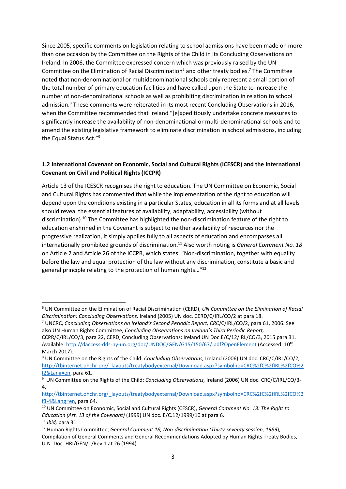Since 2005, specific comments on legislation relating to school admissions have been made on more than one occasion by the Committee on the Rights of the Child in its Concluding Observations on Ireland. In 2006, the Committee expressed concern which was previously raised by the UN Committee on the Elimination of Racial Discrimination<sup>6</sup> and other treaty bodies.<sup>7</sup> The Committee noted that non-denominational or multidenominational schools only represent a small portion of the total number of primary education facilities and have called upon the State to increase the number of non-denominational schools as well as prohibiting discrimination in relation to school admission.<sup>8</sup> These comments were reiterated in its most recent Concluding Observations in 2016, when the Committee recommended that Ireland "[e]xpeditiously undertake concrete measures to significantly increase the availability of non-denominational or multi-denominational schools and to amend the existing legislative framework to eliminate discrimination in school admissions, including the Equal Status Act."<sup>9</sup>

#### **1.2 International Covenant on Economic, Social and Cultural Rights (ICESCR) and the International Covenant on Civil and Political Rights (ICCPR)**

Article 13 of the ICESCR recognises the right to education. The UN Committee on Economic, Social and Cultural Rights has commented that while the implementation of the right to education will depend upon the conditions existing in a particular States, education in all its forms and at all levels should reveal the essential features of availability, adaptability, accessibility (without discrimination).<sup>10</sup> The Committee has highlighted the non-discrimination feature of the right to education enshrined in the Covenant is subject to neither availability of resources nor the progressive realization, it simply applies fully to all aspects of education and encompasses all internationally prohibited grounds of discrimination.<sup>11</sup> Also worth noting is *General Comment No. 18* on Article 2 and Article 26 of the ICCPR, which states: "Non-discrimination, together with equality before the law and equal protection of the law without any discrimination, constitute a basic and general principle relating to the protection of human rights…"<sup>12</sup>

<sup>6</sup> UN Committee on the Elimination of Racial Discrimination (CERD), *UN Committee on the Elimination of Racial Discrimination: Concluding Observations,* Ireland (2005) UN doc. CERD/C/IRL/CO/2 at para 18.

<sup>7</sup> UNCRC, *Concluding Observations on Ireland's Second Periodic Report, CRC*/C/IRL/CO/2, para 61, 2006. See also UN Human Rights Committee, *Concluding Observations on Ireland's Third Periodic Report,*

CCPR/C/IRL/CO/3, para 22, CERD, Concluding Observations: Ireland UN Doc.E/C/12/IRL/CO/3, 2015 para 31. Available: http://daccess-dds-ny-un.org/doc/UNDOC/GEN/G15/150/67/.pdf?OpenElement (Accessed: 10th March 2017).

<sup>8</sup> UN Committee on the Rights of the Child: *Concluding Observations,* Ireland (2006) UN doc. CRC/C/IRL/CO/2, http://tbinternet.ohchr.org/\_layouts/treatybodyexternal/Download.aspx?symbolno=CRC%2fC%2fIRL%2fCO%2 f2&Lang=en, para 61.

<sup>9</sup> UN Committee on the Rights of the Child: *Concluding Observations,* Ireland (2006) UN doc. CRC/C/IRL/CO/3- 4,

http://tbinternet.ohchr.org/\_layouts/treatybodyexternal/Download.aspx?symbolno=CRC%2fC%2fIRL%2fCO%2 f3-4&Lang=en, para 64.

<sup>10</sup> UN Committee on Economic, Social and Cultural Rights (CESCR), *General Comment No. 13: The Right to Education (Art. 13 of the Covenant)* (1999) UN doc. E/C.12/1999/10 at para 6.

<sup>11</sup> *Ibid,* para 31.

<sup>12</sup> Human Rights Committee, *General Comment 18, Non-discrimination (Thirty-seventy session, 1989*), Compilation of General Comments and General Recommendations Adopted by Human Rights Treaty Bodies, U.N. Doc. HRI/GEN/1/Rev.1 at 26 (1994).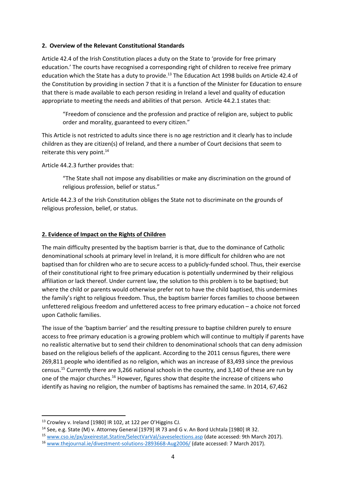#### **2. Overview of the Relevant Constitutional Standards**

Article 42.4 of the Irish Constitution places a duty on the State to 'provide for free primary education.' The courts have recognised a corresponding right of children to receive free primary education which the State has a duty to provide.<sup>13</sup> The Education Act 1998 builds on Article 42.4 of the Constitution by providing in section 7 that it is a function of the Minister for Education to ensure that there is made available to each person residing in Ireland a level and quality of education appropriate to meeting the needs and abilities of that person. Article 44.2.1 states that:

"Freedom of conscience and the profession and practice of religion are, subject to public order and morality, guaranteed to every citizen."

This Article is not restricted to adults since there is no age restriction and it clearly has to include children as they are citizen(s) of Ireland, and there a number of Court decisions that seem to reiterate this very point.<sup>14</sup>

Article 44.2.3 further provides that:

"The State shall not impose any disabilities or make any discrimination on the ground of religious profession, belief or status."

Article 44.2.3 of the Irish Constitution obliges the State not to discriminate on the grounds of religious profession, belief, or status.

#### **2. Evidence of Impact on the Rights of Children**

The main difficulty presented by the baptism barrier is that, due to the dominance of Catholic denominational schools at primary level in Ireland, it is more difficult for children who are not baptised than for children who are to secure access to a publicly-funded school. Thus, their exercise of their constitutional right to free primary education is potentially undermined by their religious affiliation or lack thereof. Under current law, the solution to this problem is to be baptised; but where the child or parents would otherwise prefer not to have the child baptised, this undermines the family's right to religious freedom. Thus, the baptism barrier forces families to choose between unfettered religious freedom and unfettered access to free primary education – a choice not forced upon Catholic families.

The issue of the 'baptism barrier' and the resulting pressure to baptise children purely to ensure access to free primary education is a growing problem which will continue to multiply if parents have no realistic alternative but to send their children to denominational schools that can deny admission based on the religious beliefs of the applicant. According to the 2011 census figures, there were 269,811 people who identified as no religion, which was an increase of 83,493 since the previous census.<sup>15</sup> Currently there are 3,266 national schools in the country, and 3,140 of these are run by one of the major churches.<sup>16</sup> However, figures show that despite the increase of citizens who identify as having no religion, the number of baptisms has remained the same. In 2014, 67,462

<sup>13</sup> Crowley v. Ireland [1980] IR 102, at 122 per O'Higgins CJ.

<sup>14</sup> See, e.g. State (M) v. Attorney General [1979] IR 73 and G v. An Bord Uchtala [1980] IR 32.

<sup>15</sup> www.cso.ie/px/pxeirestat.Statire/SelectVarVal/saveselections.asp (date accessed: 9th March 2017).

<sup>16</sup> www.thejournal.ie/divestment-solutions-2893668-Aug2006/ (date accessed: 7 March 2017).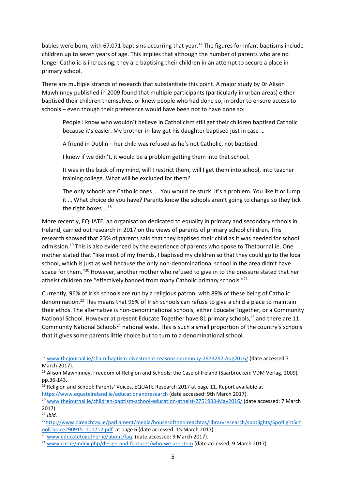babies were born, with 67,071 baptisms occurring that year.<sup>17</sup> The figures for infant baptisms include children up to seven years of age. This implies that although the number of parents who are no longer Catholic is increasing, they are baptising their children in an attempt to secure a place in primary school.

There are multiple strands of research that substantiate this point. A major study by Dr Alison Mawhinney published in 2009 found that multiple participants (particularly in urban areas) either baptised their children themselves, or knew people who had done so, in order to ensure access to schools – even though their preference would have been not to have done so:

People I know who wouldn't believe in Catholicism still get their children baptised Catholic because it's easier. My brother-in-law got his daughter baptised just in case …

A friend in Dublin – her child was refused as he's not Catholic, not baptised.

I knew if we didn't, it would be a problem getting them into that school.

It was in the back of my mind, will I restrict them, will I get them into school, into teacher training college. What will be excluded for them?

The only schools are Catholic ones … You would be stuck. It's a problem. You like it or lump it … What choice do you have? Parents know the schools aren't going to change so they tick the right boxes ...<sup>18</sup>

More recently, EQUATE, an organisation dedicated to equality in primary and secondary schools in Ireland, carried out research in 2017 on the views of parents of primary school children. This research showed that 23% of parents said that they baptised their child as it was needed for school admission.<sup>19</sup> This is also evidenced by the experience of parents who spoke to TheJournal.ie. One mother stated that "like most of my friends, I baptised my children so that they could go to the local school, which is just as well because the only non-denominational school in the area didn't have space for them."<sup>20</sup> However, another mother who refused to give in to the pressure stated that her atheist children are "effectively banned from many Catholic primary schools."<sup>21</sup>

Currently, 96% of Irish schools are run by a religious patron, with 89% of these being of Catholic denomination.<sup>22</sup> This means that 96% of Irish schools can refuse to give a child a place to maintain their ethos. The alternative is non-denominational schools, either Educate Together, or a Community National School. However at present Educate Together have 81 primary schools,<sup>23</sup> and there are 11 Community National Schools<sup>24</sup> national wide. This is such a small proportion of the country's schools that it gives some parents little choice but to turn to a denominational school.

<u>.</u>

<sup>17</sup> www.thejournal.ie/sham-baptism-divestment-reasons-ceremony-2873282-Aug2016/ (date accessed 7 March 2017).

<sup>&</sup>lt;sup>18</sup> Alison Mawhinney, Freedom of Religion and Schools: the Case of Ireland (Saarbrücken: VDM Verlag, 2009), pp.36-143.

<sup>&</sup>lt;sup>19</sup> Religion and School: Parents' Voices, EQUATE Research 2017 at page 11. Report available at https://www.equateireland.ie/educationandresearch (date accessed: 9th March 2017).

<sup>&</sup>lt;sup>20</sup> www.thejournal.ie/children-baptism-school-education-atheist-2751933-May2016/ (date accessed: 7 March 2017).

<sup>21</sup> *Ibid.* 

<sup>22</sup>http://www.oireachtas.ie/parliament/media/housesoftheoireachtas/libraryresearch/spotlights/SpotlightSch oolChoice290915\_101712.pdf at page 6 (date accessed: 15 March 2017).

<sup>&</sup>lt;sup>23</sup> www.educatetogether.ie/about/faq. (date accessed: 9 March 2017).

<sup>24</sup> www.cns.ie/index.php/design-and-features/who-we-are-item (date accessed: 9 March 2017).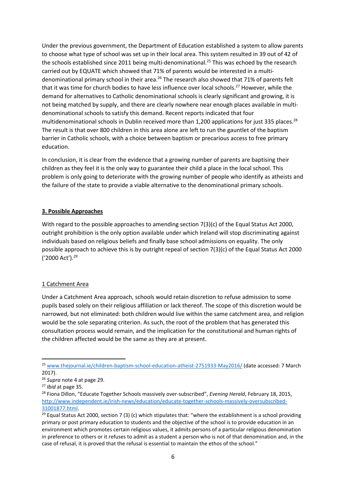Under the previous government, the Department of Education established a system to allow parents to choose what type of school was set up in their local area. This system resulted in 39 out of 42 of the schools established since 2011 being multi-denominational.<sup>25</sup> This was echoed by the research carried out by EQUATE which showed that 71% of parents would be interested in a multidenominational primary school in their area.<sup>26</sup> The research also showed that 71% of parents felt that it was time for church bodies to have less influence over local schools.<sup>27</sup> However, while the demand for alternatives to Catholic denominational schools is clearly significant and growing, it is not being matched by supply, and there are clearly nowhere near enough places available in multidenominational schools to satisfy this demand. Recent reports indicated that four multidenominational schools in Dublin received more than 1,200 applications for just 335 places.<sup>28</sup> The result is that over 800 children in this area alone are left to run the gauntlet of the baptism barrier in Catholic schools, with a choice between baptism or precarious access to free primary education.

In conclusion, it is clear from the evidence that a growing number of parents are baptising their children as they feel it is the only way to guarantee their child a place in the local school. This problem is only going to deteriorate with the growing number of people who identify as atheists and the failure of the state to provide a viable alternative to the denominational primary schools.

#### **3. Possible Approaches**

With regard to the possible approaches to amending section 7(3)(c) of the Equal Status Act 2000, outright prohibition is the only option available under which Ireland will stop discriminating against individuals based on religious beliefs and finally base school admissions on equality. The only possible approach to achieve this is by outright repeal of section 7(3)(c) of the Equal Status Act 2000 ('2000 Act')*. 29* 

#### 1 Catchment Area

Under a Catchment Area approach, schools would retain discretion to refuse admission to some pupils based solely on their religious affiliation or lack thereof. The scope of this discretion would be narrowed, but not eliminated: both children would live within the same catchment area, and religion would be the sole separating criterion. As such, the root of the problem that has generated this consultation process would remain, and the implication for the constitutional and human rights of the children affected would be the same as they are at present.

.<br>-

<sup>25</sup> www.thejournal.ie/children-baptism-school-education-atheist-2751933-May2016/ (date accessed: 7 March 2017).

<sup>26</sup> *Supra* note 4 at page 29.

<sup>27</sup> *Ibid* at page 35.

<sup>28</sup> Fiona Dillon, "Educate Together Schools massively over-subscribed", *Evening Herald*, February 18, 2015, http://www.independent.ie/irish-news/education/educate-together-schools-massively-oversubscribed-31001877.html.

<sup>&</sup>lt;sup>29</sup> Equal Status Act 2000, section 7 (3) (c) which stipulates that: "where the establishment is a school providing primary or post primary education to students and the objective of the school is to provide education in an environment which promotes certain religious values, it admits persons of a particular religious denomination in preference to others or it refuses to admit as a student a person who is not of that denomination and, in the case of refusal, it is proved that the refusal is essential to maintain the ethos of the school."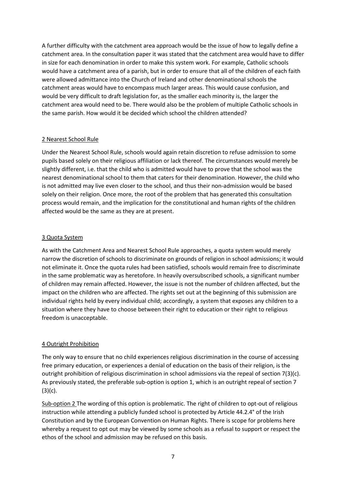A further difficulty with the catchment area approach would be the issue of how to legally define a catchment area. In the consultation paper it was stated that the catchment area would have to differ in size for each denomination in order to make this system work. For example, Catholic schools would have a catchment area of a parish, but in order to ensure that all of the children of each faith were allowed admittance into the Church of Ireland and other denominational schools the catchment areas would have to encompass much larger areas. This would cause confusion, and would be very difficult to draft legislation for, as the smaller each minority is, the larger the catchment area would need to be. There would also be the problem of multiple Catholic schools in the same parish. How would it be decided which school the children attended?

#### 2 Nearest School Rule

Under the Nearest School Rule, schools would again retain discretion to refuse admission to some pupils based solely on their religious affiliation or lack thereof. The circumstances would merely be slightly different, i.e. that the child who is admitted would have to prove that the school was the nearest denominational school to them that caters for their denomination. However, the child who is not admitted may live even closer to the school, and thus their non-admission would be based solely on their religion. Once more, the root of the problem that has generated this consultation process would remain, and the implication for the constitutional and human rights of the children affected would be the same as they are at present.

#### 3 Quota System

As with the Catchment Area and Nearest School Rule approaches, a quota system would merely narrow the discretion of schools to discriminate on grounds of religion in school admissions; it would not eliminate it. Once the quota rules had been satisfied, schools would remain free to discriminate in the same problematic way as heretofore. In heavily oversubscribed schools, a significant number of children may remain affected. However, the issue is not the number of children affected, but the impact on the children who are affected. The rights set out at the beginning of this submission are individual rights held by every individual child; accordingly, a system that exposes any children to a situation where they have to choose between their right to education or their right to religious freedom is unacceptable.

#### 4 Outright Prohibition

The only way to ensure that no child experiences religious discrimination in the course of accessing free primary education, or experiences a denial of education on the basis of their religion, is the outright prohibition of religious discrimination in school admissions via the repeal of section 7(3)(c). As previously stated, the preferable sub-option is option 1, which is an outright repeal of section 7 (3)(c).

Sub-option 2 The wording of this option is problematic. The right of children to opt-out of religious instruction while attending a publicly funded school is protected by Article 44.2.4° of the Irish Constitution and by the European Convention on Human Rights. There is scope for problems here whereby a request to opt out may be viewed by some schools as a refusal to support or respect the ethos of the school and admission may be refused on this basis.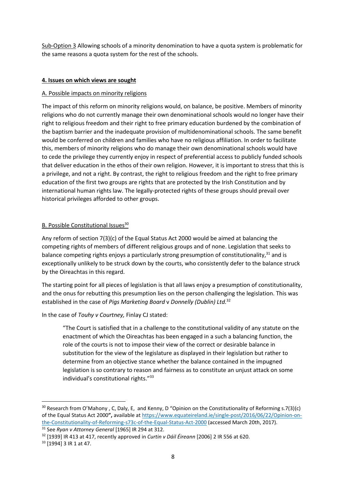Sub-Option 3 Allowing schools of a minority denomination to have a quota system is problematic for the same reasons a quota system for the rest of the schools.

#### **4. Issues on which views are sought**

#### A. Possible impacts on minority religions

The impact of this reform on minority religions would, on balance, be positive. Members of minority religions who do not currently manage their own denominational schools would no longer have their right to religious freedom and their right to free primary education burdened by the combination of the baptism barrier and the inadequate provision of multidenominational schools. The same benefit would be conferred on children and families who have no religious affiliation. In order to facilitate this, members of minority religions who do manage their own denominational schools would have to cede the privilege they currently enjoy in respect of preferential access to publicly funded schools that deliver education in the ethos of their own religion. However, it is important to stress that this is a privilege, and not a right. By contrast, the right to religious freedom and the right to free primary education of the first two groups are rights that are protected by the Irish Constitution and by international human rights law. The legally-protected rights of these groups should prevail over historical privileges afforded to other groups.

#### B. Possible Constitutional Issues<sup>30</sup>

Any reform of section 7(3)(c) of the Equal Status Act 2000 would be aimed at balancing the competing rights of members of different religious groups and of none. Legislation that seeks to balance competing rights enjoys a particularly strong presumption of constitutionality, $31$  and is exceptionally unlikely to be struck down by the courts, who consistently defer to the balance struck by the Oireachtas in this regard.

The starting point for all pieces of legislation is that all laws enjoy a presumption of constitutionality, and the onus for rebutting this presumption lies on the person challenging the legislation. This was established in the case of *Pigs Marketing Board* v *Donnelly (Dublin) Ltd.*<sup>32</sup>

In the case of *Touhy v Courtney,* Finlay CJ stated:

"The Court is satisfied that in a challenge to the constitutional validity of any statute on the enactment of which the Oireachtas has been engaged in a such a balancing function, the role of the courts is not to impose their view of the correct or desirable balance in substitution for the view of the legislature as displayed in their legislation but rather to determine from an objective stance whether the balance contained in the impugned legislation is so contrary to reason and fairness as to constitute an unjust attack on some individual's constitutional rights."<sup>33</sup>

 $30$  Research from O'Mahony, C, Daly, E, and Kenny, D "Opinion on the Constitutionality of Reforming s.7(3)(c) of the Equal Status Act 2000**",** available at https://www.equateireland.ie/single-post/2016/06/22/Opinion-onthe-Constitutionality-of-Reforming-s73c-of-the-Equal-Status-Act-2000 (accessed March 20th, 2017).

<sup>31</sup> See *Ryan v Attorney General* [1965] IR 294 at 312.

<sup>32</sup> [1939] IR 413 at 417, recently approved in *Curtin v Dáil Éireann* [2006] 2 IR 556 at 620.

<sup>33</sup> [1994] 3 IR 1 at 47.